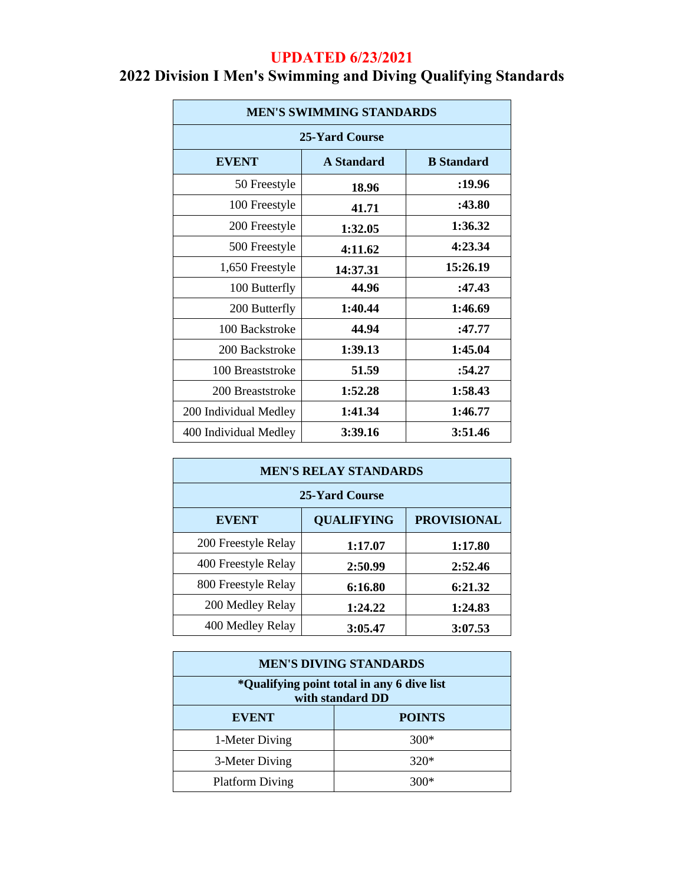### **UPDATED 6/23/2021**

| <b>MEN'S SWIMMING STANDARDS</b> |                   |          |  |
|---------------------------------|-------------------|----------|--|
| 25-Yard Course                  |                   |          |  |
| <b>EVENT</b>                    | <b>A</b> Standard |          |  |
| 50 Freestyle                    | 18.96             | :19.96   |  |
| 100 Freestyle                   | 41.71             | :43.80   |  |
| 200 Freestyle                   | 1:32.05           | 1:36.32  |  |
| 500 Freestyle                   | 4:11.62           | 4:23.34  |  |
| 1,650 Freestyle                 | 14:37.31          | 15:26.19 |  |
| 100 Butterfly                   | 44.96             | :47.43   |  |
| 200 Butterfly                   | 1:40.44           | 1:46.69  |  |
| 100 Backstroke                  | 44.94             | :47.77   |  |
| 200 Backstroke                  | 1:39.13           | 1:45.04  |  |
| 100 Breaststroke                | 51.59             | :54.27   |  |
| 200 Breaststroke                | 1:52.28           | 1:58.43  |  |
| 200 Individual Medley           | 1:41.34           | 1:46.77  |  |
| 400 Individual Medley           | 3:39.16           | 3:51.46  |  |

## **2022 Division I Men's Swimming and Diving Qualifying Standards**

| <b>MEN'S RELAY STANDARDS</b> |                                         |         |  |  |
|------------------------------|-----------------------------------------|---------|--|--|
| 25-Yard Course               |                                         |         |  |  |
| <b>EVENT</b>                 | <b>PROVISIONAL</b><br><b>QUALIFYING</b> |         |  |  |
| 200 Freestyle Relay          | 1:17.07                                 | 1:17.80 |  |  |
| 400 Freestyle Relay          | 2:50.99                                 | 2:52.46 |  |  |
| 800 Freestyle Relay          | 6:16.80                                 | 6:21.32 |  |  |
| 200 Medley Relay             | 1:24.22                                 | 1:24.83 |  |  |
| 400 Medley Relay             | 3:05.47                                 | 3:07.53 |  |  |

| <b>MEN'S DIVING STANDARDS</b>                                  |               |  |
|----------------------------------------------------------------|---------------|--|
| *Qualifying point total in any 6 dive list<br>with standard DD |               |  |
| <b>EVENT</b>                                                   | <b>POINTS</b> |  |
| 1-Meter Diving                                                 | $300*$        |  |
| 3-Meter Diving                                                 | $320*$        |  |
| <b>Platform Diving</b>                                         | 300*          |  |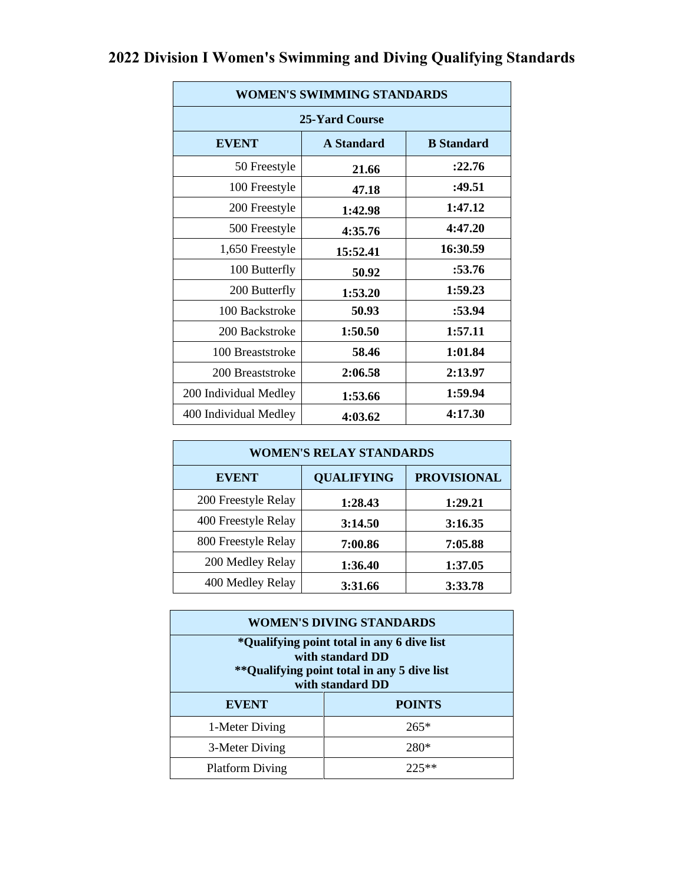| <b>WOMEN'S SWIMMING STANDARDS</b> |                   |                   |  |
|-----------------------------------|-------------------|-------------------|--|
|                                   |                   |                   |  |
| 25-Yard Course                    |                   |                   |  |
| <b>EVENT</b>                      | <b>A</b> Standard | <b>B</b> Standard |  |
| 50 Freestyle                      | 21.66             | :22.76            |  |
| 100 Freestyle                     | 47.18             | :49.51            |  |
| 200 Freestyle                     | 1:42.98           | 1:47.12           |  |
| 500 Freestyle                     | 4:35.76           | 4:47.20           |  |
| 1,650 Freestyle                   | 15:52.41          | 16:30.59          |  |
| 100 Butterfly                     | 50.92             | :53.76            |  |
| 200 Butterfly                     | 1:53.20           | 1:59.23           |  |
| 100 Backstroke                    | 50.93             | :53.94            |  |
| 200 Backstroke                    | 1:50.50           | 1:57.11           |  |
| 100 Breaststroke                  | 58.46             | 1:01.84           |  |
| 200 Breaststroke                  | 2:06.58           | 2:13.97           |  |
| 200 Individual Medley             | 1:53.66           | 1:59.94           |  |
| 400 Individual Medley             | 4:03.62           | 4:17.30           |  |

# **2022 Division I Women's Swimming and Diving Qualifying Standards**

| <b>WOMEN'S RELAY STANDARDS</b> |                   |                    |  |
|--------------------------------|-------------------|--------------------|--|
| <b>EVENT</b>                   | <b>QUALIFYING</b> | <b>PROVISIONAL</b> |  |
| 200 Freestyle Relay            | 1:28.43           | 1:29.21            |  |
| 400 Freestyle Relay            | 3:14.50           | 3:16.35            |  |
| 800 Freestyle Relay            | 7:00.86           | 7:05.88            |  |
| 200 Medley Relay               | 1:36.40           | 1:37.05            |  |
| 400 Medley Relay               | 3:31.66           | 3:33.78            |  |

| <b>WOMEN'S DIVING STANDARDS</b>                                                                                                     |               |  |  |
|-------------------------------------------------------------------------------------------------------------------------------------|---------------|--|--|
| *Qualifying point total in any 6 dive list<br>with standard DD<br>*** Qualifying point total in any 5 dive list<br>with standard DD |               |  |  |
| <b>EVENT</b>                                                                                                                        | <b>POINTS</b> |  |  |
| 1-Meter Diving                                                                                                                      | $265*$        |  |  |
| 3-Meter Diving                                                                                                                      | 280*          |  |  |
| <b>Platform Diving</b>                                                                                                              |               |  |  |